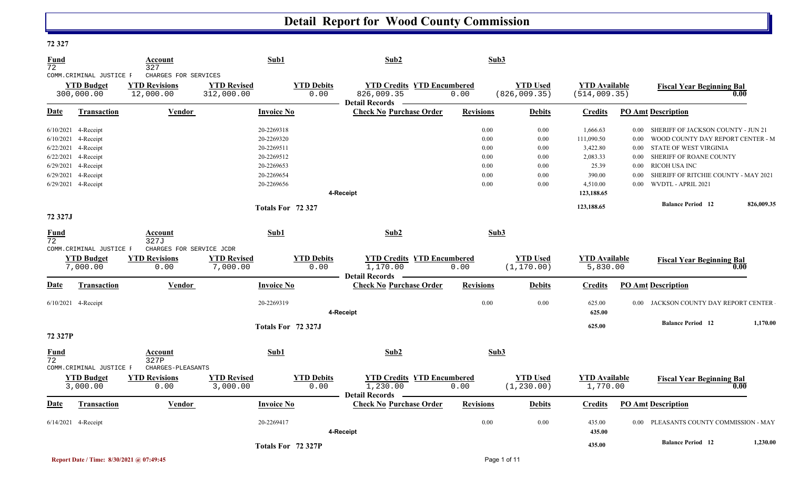| 14341             |                                                            |                                                           |                                  |                           |                                                                          |                  |                                  |                                       |          |                                         |            |
|-------------------|------------------------------------------------------------|-----------------------------------------------------------|----------------------------------|---------------------------|--------------------------------------------------------------------------|------------------|----------------------------------|---------------------------------------|----------|-----------------------------------------|------------|
| <b>Fund</b><br>72 |                                                            | Account<br>327                                            | Sub1                             |                           | Sub2                                                                     | Sub3             |                                  |                                       |          |                                         |            |
|                   | COMM.CRIMINAL JUSTICE F<br><b>YTD Budget</b><br>300,000.00 | CHARGES FOR SERVICES<br><b>YTD Revisions</b><br>12,000.00 | <b>YTD Revised</b><br>312,000.00 | <b>YTD</b> Debits<br>0.00 | <b>YTD Credits YTD Encumbered</b><br>826,009.35<br><b>Detail Records</b> | 0.00             | <b>YTD Used</b><br>(826, 009.35) | <b>YTD</b> Available<br>(514, 009.35) |          | <b>Fiscal Year Beginning Bal</b>        | 0.00       |
| Date              | <b>Transaction</b>                                         | Vendor                                                    | <b>Invoice No</b>                |                           | <b>Check No Purchase Order</b>                                           | <b>Revisions</b> | <b>Debits</b>                    | <b>Credits</b>                        |          | <b>PO Amt Description</b>               |            |
|                   | 6/10/2021 4-Receipt                                        |                                                           | 20-2269318                       |                           |                                                                          | 0.00             | 0.00                             | 1,666.63                              |          | 0.00 SHERIFF OF JACKSON COUNTY - JUN 21 |            |
|                   | 6/10/2021 4-Receipt                                        |                                                           | 20-2269320                       |                           |                                                                          | 0.00             | 0.00                             | 111,090.50                            | $0.00\,$ | WOOD COUNTY DAY REPORT CENTER - M       |            |
|                   | 6/22/2021 4-Receipt                                        |                                                           | 20-2269511                       |                           |                                                                          | 0.00             | 0.00                             | 3,422.80                              |          | 0.00 STATE OF WEST VIRGINIA             |            |
|                   | 6/22/2021 4-Receipt                                        |                                                           | 20-2269512                       |                           |                                                                          | 0.00             | 0.00                             | 2,083.33                              | $0.00\,$ | SHERIFF OF ROANE COUNTY                 |            |
|                   | 6/29/2021 4-Receipt                                        |                                                           | 20-2269653                       |                           |                                                                          | 0.00             | 0.00                             | 25.39                                 |          | 0.00 RICOH USA INC                      |            |
|                   | 6/29/2021 4-Receipt                                        |                                                           | 20-2269654                       |                           |                                                                          | 0.00             | 0.00                             | 390.00                                | $0.00\,$ | SHERIFF OF RITCHIE COUNTY - MAY 2021    |            |
|                   | 6/29/2021 4-Receipt                                        |                                                           | 20-2269656                       |                           | 4-Receipt                                                                | 0.00             | 0.00                             | 4,510.00<br>123,188.65                |          | 0.00 WVDTL - APRIL 2021                 |            |
|                   |                                                            |                                                           |                                  |                           |                                                                          |                  |                                  | 123,188.65                            |          | <b>Balance Period</b> 12                | 826,009.35 |
| 72 327J           |                                                            |                                                           | Totals For 72 327                |                           |                                                                          |                  |                                  |                                       |          |                                         |            |
| Fund              |                                                            | Account                                                   | Sub1                             |                           | Sub2                                                                     | Sub3             |                                  |                                       |          |                                         |            |
| 72                |                                                            | 327J                                                      |                                  |                           |                                                                          |                  |                                  |                                       |          |                                         |            |
|                   | COMM. CRIMINAL JUSTICE F                                   | CHARGES FOR SERVICE JCDR                                  |                                  |                           |                                                                          |                  |                                  |                                       |          |                                         |            |
|                   | <b>YTD Budget</b>                                          | <b>YTD Revisions</b>                                      | <b>YTD Revised</b>               | <b>YTD Debits</b>         | <b>YTD Credits YTD Encumbered</b>                                        |                  | <b>YTD</b> Used                  | <b>YTD</b> Available                  |          | <b>Fiscal Year Beginning Bal</b>        |            |
|                   | 7,000.00                                                   | 0.00                                                      | 7,000.00                         | 0.00                      | 1,170.00<br>Detail Records –                                             | 0.00             | (1, 170.00)                      | 5,830.00                              |          |                                         | 0.00       |
| Date              | <b>Transaction</b>                                         | Vendor                                                    | <b>Invoice No</b>                |                           | <b>Check No Purchase Order</b>                                           | <b>Revisions</b> | <b>Debits</b>                    | <b>Credits</b>                        |          | <b>PO Amt Description</b>               |            |
|                   | 6/10/2021 4-Receipt                                        |                                                           | 20-2269319                       |                           |                                                                          | 0.00             | 0.00                             | 625.00                                |          | 0.00 JACKSON COUNTY DAY REPORT CENTER   |            |
|                   |                                                            |                                                           |                                  |                           | 4-Receipt                                                                |                  |                                  | 625.00                                |          |                                         |            |
|                   |                                                            |                                                           |                                  | Totals For 72 327J        |                                                                          |                  |                                  | 625.00                                |          | <b>Balance Period</b> 12                | 1,170.00   |
| 72 327P           |                                                            |                                                           |                                  |                           |                                                                          |                  |                                  |                                       |          |                                         |            |
| Fund<br>72        | COMM.CRIMINAL JUSTICE F                                    | Account<br>327P<br>CHARGES-PLEASANTS                      | Sub1                             |                           | Sub2                                                                     | Sub3             |                                  |                                       |          |                                         |            |
|                   | <b>YTD Budget</b>                                          | <b>YTD Revisions</b>                                      | <b>YTD Revised</b>               | <b>YTD Debits</b>         | <b>YTD Credits YTD Encumbered</b>                                        |                  | <b>YTD</b> Used                  | <b>YTD Available</b>                  |          | <b>Fiscal Year Beginning Bal</b>        |            |
|                   | 3,000.00                                                   | 0.00                                                      | 3,000.00                         | 0.00                      | 1,230.00<br><b>Detail Records</b>                                        | 0.00             | (1, 230.00)                      | 1,770.00                              |          |                                         | 0.00       |
| Date              | <b>Transaction</b>                                         | Vendor                                                    | <b>Invoice No</b>                |                           | <b>Check No Purchase Order</b>                                           | <b>Revisions</b> | <b>Debits</b>                    | <b>Credits</b>                        |          | <b>PO Amt Description</b>               |            |
|                   | 6/14/2021 4-Receipt                                        |                                                           | 20-2269417                       |                           |                                                                          | 0.00             | 0.00                             | 435.00                                |          | 0.00 PLEASANTS COUNTY COMMISSION - MAY  |            |
|                   |                                                            |                                                           |                                  |                           | 4-Receipt                                                                |                  |                                  | 435.00                                |          |                                         |            |
|                   |                                                            |                                                           |                                  | Totals For 72 327P        |                                                                          |                  |                                  | 435.00                                |          | <b>Balance Period</b> 12                | 1,230.00   |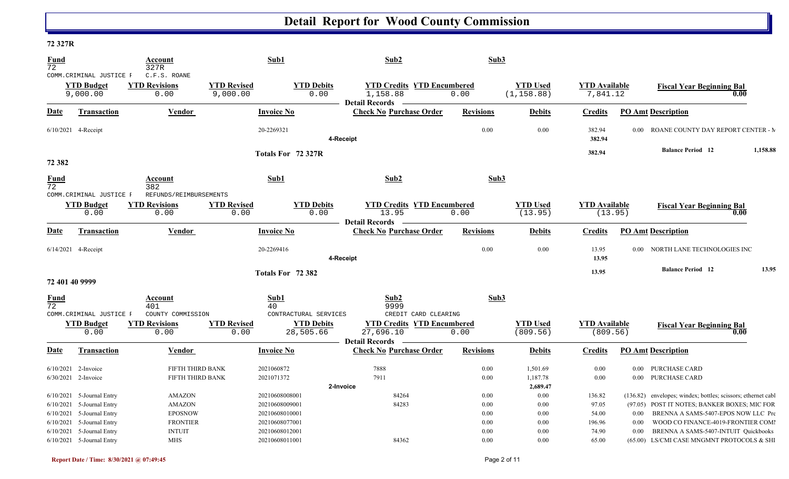#### **72 327R**

| <u>Fund</u><br>72 |                                                                                                                                                     | <u>Account</u><br>327R                                                 |                                | Sub1                                                                                   | Sub2                                                                                            | Sub3                                             |                                                  |                                             |                      |                                                                                                                                                                                                                                     |          |
|-------------------|-----------------------------------------------------------------------------------------------------------------------------------------------------|------------------------------------------------------------------------|--------------------------------|----------------------------------------------------------------------------------------|-------------------------------------------------------------------------------------------------|--------------------------------------------------|--------------------------------------------------|---------------------------------------------|----------------------|-------------------------------------------------------------------------------------------------------------------------------------------------------------------------------------------------------------------------------------|----------|
|                   | COMM. CRIMINAL JUSTICE F<br><b>YTD Budget</b><br>9,000.00                                                                                           | C.F.S. ROANE<br><b>YTD Revisions</b><br>0.00                           | <b>YTD Revised</b><br>9,000.00 | <b>YTD Debits</b><br>0.00                                                              | <b>YTD Credits YTD Encumbered</b><br>1,158.88                                                   | 0.00                                             | <b>YTD Used</b><br>(1, 158.88)                   | <b>YTD Available</b><br>7,841.12            |                      | <b>Fiscal Year Beginning Bal</b><br>0.00                                                                                                                                                                                            |          |
| Date              | Transaction                                                                                                                                         | Vendor                                                                 |                                | <b>Invoice No</b>                                                                      | <b>Detail Records</b><br><b>Check No Purchase Order</b>                                         | <b>Revisions</b>                                 | <b>Debits</b>                                    | <b>Credits</b>                              |                      | <b>PO Amt Description</b>                                                                                                                                                                                                           |          |
|                   | $6/10/2021$ 4-Receipt                                                                                                                               |                                                                        |                                | 20-2269321                                                                             | 4-Receipt                                                                                       | 0.00                                             | 0.00                                             | 382.94<br>382.94                            |                      | 0.00 ROANE COUNTY DAY REPORT CENTER - M                                                                                                                                                                                             |          |
| 72 382            |                                                                                                                                                     |                                                                        |                                | Totals For 72 327R                                                                     |                                                                                                 |                                                  |                                                  | 382.94                                      |                      | <b>Balance Period 12</b>                                                                                                                                                                                                            | 1,158.88 |
| $\frac{Fund}{72}$ |                                                                                                                                                     | Account<br>382                                                         |                                | Sub1                                                                                   | Sub2                                                                                            | Sub3                                             |                                                  |                                             |                      |                                                                                                                                                                                                                                     |          |
|                   | COMM.CRIMINAL JUSTICE F<br><b>YTD Budget</b><br>0.00                                                                                                | REFUNDS/REIMBURSEMENTS<br><b>YTD Revisions</b><br>0.00                 | <b>YTD Revised</b><br>0.00     | <b>YTD Debits</b><br>0.00                                                              | <b>YTD Credits YTD Encumbered</b><br>13.95<br><b>Detail Records</b>                             | 0.00                                             | <b>YTD Used</b><br>(13.95)                       | <b>YTD Available</b><br>(13.95)             |                      | <b>Fiscal Year Beginning Bal</b><br>0.00                                                                                                                                                                                            |          |
| <b>Date</b>       | Transaction                                                                                                                                         | Vendor                                                                 |                                | <b>Invoice No</b>                                                                      | <b>Check No Purchase Order</b>                                                                  | <b>Revisions</b>                                 | <b>Debits</b>                                    | <b>Credits</b>                              |                      | <b>PO Amt Description</b>                                                                                                                                                                                                           |          |
|                   | 6/14/2021 4-Receipt                                                                                                                                 |                                                                        |                                | 20-2269416                                                                             | 4-Receipt                                                                                       | 0.00                                             | 0.00                                             | 13.95<br>13.95                              |                      | 0.00 NORTH LANE TECHNOLOGIES INC                                                                                                                                                                                                    |          |
| 72 401 40 9999    |                                                                                                                                                     |                                                                        |                                | Totals For 72 382                                                                      |                                                                                                 |                                                  |                                                  | 13.95                                       |                      | <b>Balance Period 12</b>                                                                                                                                                                                                            | 13.95    |
| <b>Fund</b><br>72 |                                                                                                                                                     | Account<br>401                                                         |                                | Sub1<br>40                                                                             | Sub2<br>9999                                                                                    | Sub3                                             |                                                  |                                             |                      |                                                                                                                                                                                                                                     |          |
|                   | COMM. CRIMINAL JUSTICE F<br><b>YTD Budget</b><br>0.00                                                                                               | COUNTY COMMISSION<br><b>YTD Revisions</b><br>0.00                      | <b>YTD Revised</b><br>0.00     | CONTRACTURAL SERVICES<br><b>YTD Debits</b><br>28,505.66                                | CREDIT CARD CLEARING<br><b>YTD Credits YTD Encumbered</b><br>27,696.10<br><b>Detail Records</b> | 0.00                                             | <b>YTD Used</b><br>(809.56)                      | <b>YTD Available</b><br>(809.56)            |                      | <b>Fiscal Year Beginning Bal</b><br>0.00                                                                                                                                                                                            |          |
| Date              | <b>Transaction</b>                                                                                                                                  | <b>Vendor</b>                                                          |                                | <b>Invoice No</b>                                                                      | <b>Check No Purchase Order</b>                                                                  | <b>Revisions</b>                                 | <b>Debits</b>                                    | <b>Credits</b>                              |                      | <b>PO Amt Description</b>                                                                                                                                                                                                           |          |
|                   | $6/10/2021$ 2-Invoice<br>6/30/2021 2-Invoice                                                                                                        | FIFTH THIRD BANK<br>FIFTH THIRD BANK                                   |                                | 2021060872<br>2021071372                                                               | 7888<br>7911                                                                                    | 0.00<br>0.00                                     | 1,501.69<br>1,187.78                             | 0.00<br>0.00                                | $0.00\,$             | 0.00 PURCHASE CARD<br>PURCHASE CARD                                                                                                                                                                                                 |          |
|                   | $6/10/2021$ 5-Journal Entry<br>$6/10/2021$ 5-Journal Entry<br>$6/10/2021$ 5-Journal Entry<br>6/10/2021 5-Journal Entry<br>6/10/2021 5-Journal Entry | AMAZON<br>AMAZON<br><b>EPOSNOW</b><br><b>FRONTIER</b><br><b>INTUIT</b> |                                | 20210608008001<br>20210608009001<br>20210608010001<br>20210608077001<br>20210608012001 | 2-Invoice<br>84264<br>84283                                                                     | $0.00\,$<br>$0.00\,$<br>$0.00\,$<br>0.00<br>0.00 | 2,689.47<br>0.00<br>0.00<br>0.00<br>0.00<br>0.00 | 136.82<br>97.05<br>54.00<br>196.96<br>74.90 | 0.00<br>0.00<br>0.00 | (136.82) envelopes; windex; bottles; scissors; ethernet cables<br>(97.05) POST IT NOTES; BANKER BOXES; MIC FOR<br>BRENNA A SAMS-5407-EPOS NOW LLC Pre<br>WOOD CO FINANCE-4019-FRONTIER COMI<br>BRENNA A SAMS-5407-INTUIT Quickbooks |          |
|                   | $6/10/2021$ 5-Journal Entry                                                                                                                         | <b>MHS</b>                                                             |                                | 20210608011001                                                                         | 84362                                                                                           | 0.00                                             | 0.00                                             | 65.00                                       |                      | (65.00) LS/CMI CASE MNGMNT PROTOCOLS & SHI                                                                                                                                                                                          |          |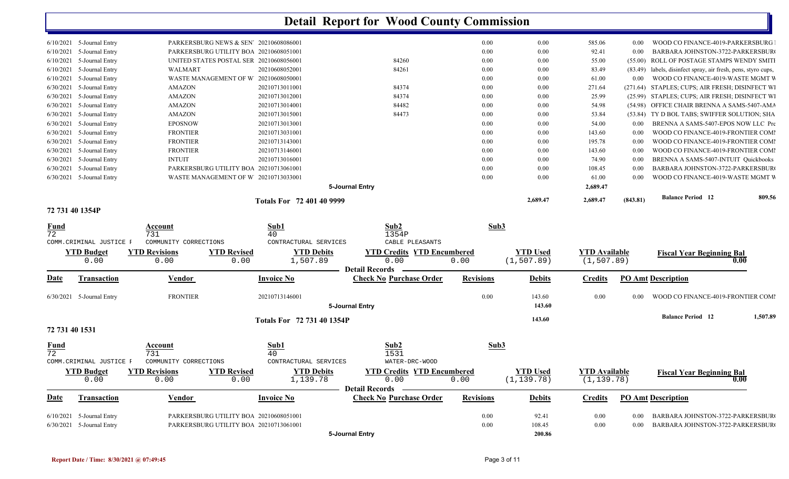| 6/10/2021 | 5-Journal Entry | PARKERSBURG NEWS & SEN' 20210608086001  |                           |                 |       | 0.00 | 0.00     | 585.06   | 0.00     | WOOD CO FINANCE-4019-PARKERSBURG                      |
|-----------|-----------------|-----------------------------------------|---------------------------|-----------------|-------|------|----------|----------|----------|-------------------------------------------------------|
| 6/10/2021 | 5-Journal Entry | PARKERSBURG UTILITY BOA 20210608051001  |                           |                 |       | 0.00 | 0.00     | 92.41    | 0.00     | BARBARA JOHNSTON-3722-PARKERSBUR                      |
|           |                 |                                         |                           |                 |       |      |          |          |          |                                                       |
| 6/10/2021 | 5-Journal Entry | UNITED STATES POSTAL SER 20210608056001 |                           |                 | 84260 | 0.00 | 0.00     | 55.00    |          | (55.00) ROLL OF POSTAGE STAMPS WENDY SMITI            |
| 6/10/2021 | 5-Journal Entry | WALMART                                 | 20210608052001            |                 | 84261 | 0.00 | 0.00     | 83.49    | (83.49)  | labels, disinfect spray, air fresh, pens, styro cups, |
| 6/10/2021 | 5-Journal Entry | WASTE MANAGEMENT OF W 20210608050001    |                           |                 |       | 0.00 | 0.00     | 61.00    | 0.00     | WOOD CO FINANCE-4019-WASTE MGMT V                     |
| 6/30/2021 | 5-Journal Entry | AMAZON                                  | 20210713011001            |                 | 84374 | 0.00 | 0.00     | 271.64   |          | (271.64) STAPLES; CUPS; AIR FRESH; DISINFECT WI       |
| 6/30/2021 | 5-Journal Entry | AMAZON                                  | 20210713012001            |                 | 84374 | 0.00 | 0.00     | 25.99    |          | (25.99) STAPLES; CUPS; AIR FRESH; DISINFECT WI        |
| 6/30/2021 | 5-Journal Entry | <b>AMAZON</b>                           | 20210713014001            |                 | 84482 | 0.00 | 0.00     | 54.98    |          | (54.98) OFFICE CHAIR BRENNA A SAMS-5407-AMA           |
| 6/30/2021 | 5-Journal Entry | <b>AMAZON</b>                           | 20210713015001            |                 | 84473 | 0.00 | 0.00     | 53.84    |          | (53.84) TY D BOL TABS; SWIFFER SOLUTION; SHA          |
| 6/30/2021 | 5-Journal Entry | <b>EPOSNOW</b>                          | 20210713013001            |                 |       | 0.00 | 0.00     | 54.00    | 0.00     | BRENNA A SAMS-5407-EPOS NOW LLC Pre                   |
| 6/30/2021 | 5-Journal Entry | <b>FRONTIER</b>                         | 20210713031001            |                 |       | 0.00 | 0.00     | 143.60   | 0.00     | WOOD CO FINANCE-4019-FRONTIER COMI                    |
| 6/30/2021 | 5-Journal Entry | <b>FRONTIER</b>                         | 20210713143001            |                 |       | 0.00 | 0.00     | 195.78   | 0.00     | WOOD CO FINANCE-4019-FRONTIER COMI                    |
| 6/30/2021 | 5-Journal Entry | <b>FRONTIER</b>                         | 20210713146001            |                 |       | 0.00 | 0.00     | 143.60   | 0.00     | WOOD CO FINANCE-4019-FRONTIER COMI                    |
| 6/30/2021 | 5-Journal Entry | <b>INTUIT</b>                           | 20210713016001            |                 |       | 0.00 | 0.00     | 74.90    | 0.00     | BRENNA A SAMS-5407-INTUIT Quickbooks                  |
| 6/30/2021 | 5-Journal Entry | PARKERSBURG UTILITY BOA 20210713061001  |                           |                 |       | 0.00 | 0.00     | 108.45   | 0.00     | BARBARA JOHNSTON-3722-PARKERSBUR                      |
| 6/30/2021 | 5-Journal Entry | WASTE MANAGEMENT OF W 20210713033001    |                           |                 |       | 0.00 | 0.00     | 61.00    | 0.00     | WOOD CO FINANCE-4019-WASTE MGMT V                     |
|           |                 |                                         |                           | 5-Journal Entry |       |      |          | 2,689.47 |          |                                                       |
|           |                 |                                         | Totals For 72 401 40 9999 |                 |       |      | 2,689.47 | 2,689.47 | (843.81) | <b>Balance Period</b> 12<br>809.56                    |

#### **72 731 40 1354P**

| $\frac{Fund}{72}$      |                                    | Account<br>731                          |                                                                                  | Sub1<br>40                          | Sub2<br>1354P                                                      | Sub3             |                                |                                     |              |                                                                      |          |
|------------------------|------------------------------------|-----------------------------------------|----------------------------------------------------------------------------------|-------------------------------------|--------------------------------------------------------------------|------------------|--------------------------------|-------------------------------------|--------------|----------------------------------------------------------------------|----------|
|                        | COMM. CRIMINAL JUSTICE B           | COMMUNITY CORRECTIONS                   |                                                                                  | CONTRACTURAL SERVICES               | CABLE PLEASANTS                                                    |                  |                                |                                     |              |                                                                      |          |
|                        | <b>YTD Budget</b><br>0.00          | <b>YTD Revisions</b><br>0.00            | <b>YTD Revised</b><br>0.00                                                       | <b>YTD Debits</b><br>1,507.89       | <b>YTD Credits YTD Encumbered</b><br>0.00<br><b>Detail Records</b> | 0.00             | <b>YTD Used</b><br>(1, 507.89) | <b>YTD Available</b><br>(1, 507.89) |              | <b>Fiscal Year Beginning Bal</b><br>0.00                             |          |
| <u>Date</u>            | Transaction                        | Vendor                                  |                                                                                  | <b>Invoice No</b>                   | <b>Check No Purchase Order</b>                                     | <b>Revisions</b> | <b>Debits</b>                  | <b>Credits</b>                      |              | <b>PO Amt Description</b>                                            |          |
| 6/30/2021              | 5-Journal Entry                    | <b>FRONTIER</b>                         |                                                                                  | 20210713146001                      | 5-Journal Entry                                                    | 0.00             | 143.60<br>143.60               | 0.00                                | 0.00         | WOOD CO FINANCE-4019-FRONTIER COMI                                   |          |
| 72 731 40 1531         |                                    |                                         |                                                                                  | Totals For 72 731 40 1354P          |                                                                    |                  | 143.60                         |                                     |              | <b>Balance Period 12</b>                                             | 1,507.89 |
| $\frac{Fund}{72}$      | COMM. CRIMINAL JUSTICE F           | Account<br>731<br>COMMUNITY CORRECTIONS |                                                                                  | Sub1<br>40<br>CONTRACTURAL SERVICES | Sub2<br>1531<br>WATER-DRC-WOOD                                     | Sub3             |                                |                                     |              |                                                                      |          |
|                        | <b>YTD Budget</b><br>0.00          | <b>YTD Revisions</b><br>0.00            | <b>YTD Revised</b><br>0.00                                                       | <b>YTD Debits</b><br>1,139.78       | <b>YTD Credits YTD Encumbered</b><br>0.00<br><b>Detail Records</b> | 0.00             | <b>YTD Used</b><br>(1, 139.78) | <b>YTD</b> Available<br>(1, 139.78) |              | <b>Fiscal Year Beginning Bal</b><br>0.00                             |          |
| Date                   | <b>Transaction</b>                 | <u>Vendor</u>                           |                                                                                  | <b>Invoice No</b>                   | <b>Check No Purchase Order</b>                                     | <b>Revisions</b> | <b>Debits</b>                  | <b>Credits</b>                      |              | <b>PO Amt Description</b>                                            |          |
| 6/10/2021<br>6/30/2021 | 5-Journal Entry<br>5-Journal Entry |                                         | PARKERSBURG UTILITY BOA 20210608051001<br>PARKERSBURG UTILITY BOA 20210713061001 |                                     |                                                                    | 0.00<br>0.00     | 92.41<br>108.45                | 0.00<br>0.00                        | 0.00<br>0.00 | BARBARA JOHNSTON-3722-PARKERSBUR<br>BARBARA JOHNSTON-3722-PARKERSBUR |          |
|                        |                                    |                                         |                                                                                  |                                     | 5-Journal Entry                                                    |                  | 200.86                         |                                     |              |                                                                      |          |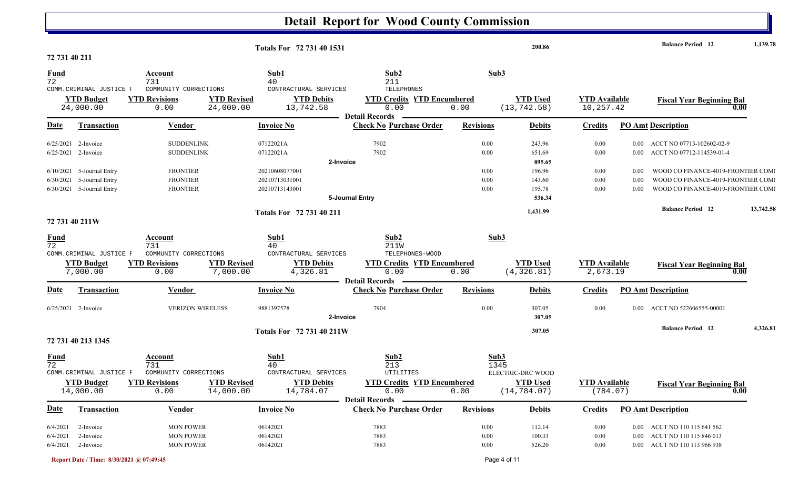| 72 731 40 211                                    |                                                                                     |                                                                                | Totals For 72 731 40 1531                                                                                |                                                                                         |                                  | 200.86                                               |                                   |                      | <b>Balance Period</b> 12                                                                                       | 1,139.78  |
|--------------------------------------------------|-------------------------------------------------------------------------------------|--------------------------------------------------------------------------------|----------------------------------------------------------------------------------------------------------|-----------------------------------------------------------------------------------------|----------------------------------|------------------------------------------------------|-----------------------------------|----------------------|----------------------------------------------------------------------------------------------------------------|-----------|
| <b>Fund</b><br>72                                |                                                                                     | Account<br>731                                                                 | Sub1<br>40                                                                                               | Sub2<br>211                                                                             | Sub3                             |                                                      |                                   |                      |                                                                                                                |           |
|                                                  | COMM. CRIMINAL JUSTICE F<br><b>YTD Budget</b><br>24,000.00                          | COMMUNITY CORRECTIONS<br><b>YTD Revisions</b><br>0.00                          | CONTRACTURAL SERVICES<br><b>YTD Debits</b><br><b>YTD Revised</b><br>24,000.00<br>13,742.58               | <b>TELEPHONES</b><br><b>YTD Credits YTD Encumbered</b><br>0.00<br><b>Detail Records</b> | 0.00                             | <b>YTD Used</b><br>(13, 742.58)                      | <b>YTD Available</b><br>10,257.42 |                      | <b>Fiscal Year Beginning Bal</b><br>0.00                                                                       |           |
| Date                                             | <b>Transaction</b>                                                                  | Vendor                                                                         | <b>Invoice No</b>                                                                                        | <b>Check No Purchase Order</b>                                                          | <b>Revisions</b>                 | <b>Debits</b>                                        | <b>Credits</b>                    |                      | <b>PO Amt Description</b>                                                                                      |           |
|                                                  | 6/25/2021 2-Invoice<br>$6/25/2021$ 2-Invoice                                        | <b>SUDDENLINK</b><br><b>SUDDENLINK</b>                                         | 07122021A<br>07122021A                                                                                   | 7902<br>7902                                                                            | 0.00<br>0.00                     | 243.96<br>651.69                                     | 0.00<br>0.00                      |                      | 0.00 ACCT NO 07713-102602-02-9<br>0.00 ACCT NO 07712-114539-01-4                                               |           |
|                                                  | 6/10/2021 5-Journal Entry<br>6/30/2021 5-Journal Entry<br>6/30/2021 5-Journal Entry | <b>FRONTIER</b><br><b>FRONTIER</b><br><b>FRONTIER</b>                          | 20210608077001<br>20210713031001<br>20210713143001                                                       | 2-Invoice                                                                               | 0.00<br>0.00<br>0.00             | 895.65<br>196.96<br>143.60<br>195.78                 | 0.00<br>0.00<br>0.00              | 0.00<br>0.00<br>0.00 | WOOD CO FINANCE-4019-FRONTIER COMI<br>WOOD CO FINANCE-4019-FRONTIER COMI<br>WOOD CO FINANCE-4019-FRONTIER COMI |           |
|                                                  |                                                                                     |                                                                                | Totals For 72 731 40 211                                                                                 | 5-Journal Entry                                                                         |                                  | 536.34<br>1,431.99                                   |                                   |                      | <b>Balance Period</b> 12                                                                                       | 13,742.58 |
| 72 731 40 211W<br><b>Fund</b><br>$\overline{72}$ |                                                                                     | Account<br>731                                                                 | Sub1<br>40                                                                                               | Sub <sub>2</sub><br><b>211W</b>                                                         | Sub3                             |                                                      |                                   |                      |                                                                                                                |           |
|                                                  | COMM.CRIMINAL JUSTICE F<br><b>YTD Budget</b><br>7,000.00                            | COMMUNITY CORRECTIONS<br><b>YTD Revisions</b><br>0.00                          | CONTRACTURAL SERVICES<br><b>YTD Debits</b><br><b>YTD Revised</b><br>7,000.00<br>4,326.81                 | TELEPHONES-WOOD<br><b>YTD Credits YTD Encumbered</b><br>0.00                            | 0.00                             | <b>YTD Used</b><br>(4, 326.81)                       | <b>YTD Available</b><br>2,673.19  |                      | <b>Fiscal Year Beginning Bal</b><br>0.00                                                                       |           |
| Date                                             | <b>Transaction</b>                                                                  | Vendor                                                                         | <b>Invoice No</b>                                                                                        | <b>Detail Records</b><br><b>Check No Purchase Order</b>                                 | <b>Revisions</b>                 | <b>Debits</b>                                        | <b>Credits</b>                    |                      | <b>PO Amt Description</b>                                                                                      |           |
|                                                  | $6/25/2021$ 2-Invoice                                                               | <b>VERIZON WIRELESS</b>                                                        | 9881397578                                                                                               | 7904<br>2-Invoice                                                                       | 0.00                             | 307.05<br>307.05                                     | 0.00                              |                      | 0.00 ACCT NO 522606555-00001                                                                                   |           |
|                                                  | 72 731 40 213 1345                                                                  |                                                                                | Totals For 72 731 40 211W                                                                                |                                                                                         |                                  | 307.05                                               |                                   |                      | <b>Balance Period</b> 12                                                                                       | 4,326.81  |
| <b>Fund</b><br>72                                | COMM. CRIMINAL JUSTICE F<br><b>YTD Budget</b><br>14,000.00                          | <b>Account</b><br>731<br>COMMUNITY CORRECTIONS<br><b>YTD Revisions</b><br>0.00 | Sub1<br>40<br>CONTRACTURAL SERVICES<br><b>YTD Debits</b><br><b>YTD Revised</b><br>14,784.07<br>14,000.00 | Sub2<br>213<br>UTILITIES<br><b>YTD Credits YTD Encumbered</b><br>0.00                   | Sub3<br>1345<br>0.00             | ELECTRIC-DRC WOOD<br><b>YTD Used</b><br>(14, 784.07) | <b>YTD</b> Available<br>(784.07)  |                      | <b>Fiscal Year Beginning Bal</b><br>0.00                                                                       |           |
| <b>Date</b>                                      | Transaction                                                                         | Vendor                                                                         | <b>Invoice No</b>                                                                                        | Detail Records —<br><b>Check No Purchase Order</b>                                      | <b>Revisions</b>                 | <b>Debits</b>                                        | <b>Credits</b>                    |                      | <b>PO Amt Description</b>                                                                                      |           |
| 6/4/2021<br>6/4/2021<br>6/4/2021                 | 2-Invoice<br>2-Invoice<br>2-Invoice                                                 | <b>MON POWER</b><br><b>MON POWER</b><br><b>MON POWER</b>                       | 06142021<br>06142021<br>06142021                                                                         | 7883<br>7883<br>7883                                                                    | $0.00\,$<br>$0.00\,$<br>$0.00\,$ | 112.14<br>100.33<br>526.20                           | $0.00\,$<br>0.00<br>$0.00\,$      |                      | 0.00 ACCT NO 110 115 641 562<br>0.00 ACCT NO 110 115 846 013<br>0.00 ACCT NO 110 113 966 938                   |           |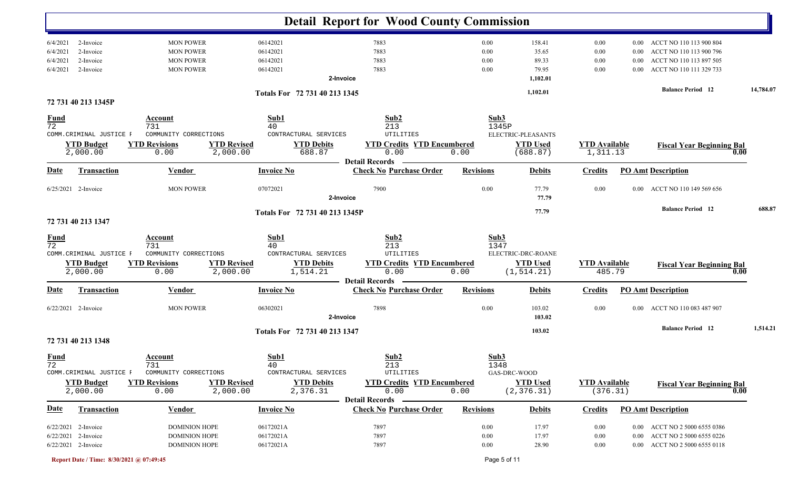|                                              |                                                                   |                                                                                                                  |                                                                      | <b>Detail Report for Wood County Commission</b>                       |                              |                                                      |                                  |                              |                                                                                                          |           |
|----------------------------------------------|-------------------------------------------------------------------|------------------------------------------------------------------------------------------------------------------|----------------------------------------------------------------------|-----------------------------------------------------------------------|------------------------------|------------------------------------------------------|----------------------------------|------------------------------|----------------------------------------------------------------------------------------------------------|-----------|
| 6/4/2021<br>6/4/2021<br>6/4/2021<br>6/4/2021 | 2-Invoice<br>2-Invoice<br>2-Invoice<br>2-Invoice                  | <b>MON POWER</b><br><b>MON POWER</b><br><b>MON POWER</b><br><b>MON POWER</b>                                     | 06142021<br>06142021<br>06142021<br>06142021                         | 7883<br>7883<br>7883<br>7883<br>2-Invoice                             | 0.00<br>0.00<br>0.00<br>0.00 | 158.41<br>35.65<br>89.33<br>79.95<br>1,102.01        | 0.00<br>0.00<br>0.00<br>0.00     | 0.00<br>0.00<br>0.00<br>0.00 | ACCT NO 110 113 900 804<br>ACCT NO 110 113 900 796<br>ACCT NO 110 113 897 505<br>ACCT NO 110 111 329 733 |           |
|                                              | 72 731 40 213 1345P                                               |                                                                                                                  | Totals For 72 731 40 213 1345                                        |                                                                       |                              | 1,102.01                                             |                                  |                              | <b>Balance Period</b> 12                                                                                 | 14,784.07 |
| <b>Fund</b><br>$\overline{72}$               | COMM. CRIMINAL JUSTICE F<br><b>YTD Budget</b><br>2,000.00         | <b>Account</b><br>731<br>COMMUNITY CORRECTIONS<br><b>YTD Revised</b><br><b>YTD Revisions</b><br>2,000.00<br>0.00 | Sub1<br>40<br>CONTRACTURAL SERVICES<br><b>YTD Debits</b><br>688.87   | Sub2<br>213<br>UTILITIES<br><b>YTD Credits YTD Encumbered</b><br>0.00 | Sub3<br>1345P<br>0.00        | ELECTRIC-PLEASANTS<br><b>YTD Used</b><br>(688.87)    | <b>YTD Available</b><br>1,311.13 |                              | <b>Fiscal Year Beginning Bal</b><br>0.00                                                                 |           |
| <b>Date</b>                                  | <b>Transaction</b>                                                | <b>Vendor</b>                                                                                                    | <b>Invoice No</b>                                                    | <b>Detail Records</b><br><b>Check No Purchase Order</b>               | <b>Revisions</b>             | <b>Debits</b>                                        | <b>Credits</b>                   |                              | <b>PO Amt Description</b>                                                                                |           |
|                                              | 6/25/2021 2-Invoice                                               | <b>MON POWER</b>                                                                                                 | 07072021                                                             | 7900<br>2-Invoice                                                     | 0.00                         | 77.79<br>77.79                                       | 0.00                             | $0.00\,$                     | ACCT NO 110 149 569 656                                                                                  |           |
|                                              | 72 731 40 213 1347                                                |                                                                                                                  | Totals For 72 731 40 213 1345P                                       |                                                                       |                              | 77.79                                                |                                  |                              | <b>Balance Period</b> 12                                                                                 | 688.87    |
| $\frac{Fund}{72}$                            | COMM.CRIMINAL JUSTICE F<br><b>YTD Budget</b><br>2,000.00          | <b>Account</b><br>731<br>COMMUNITY CORRECTIONS<br><b>YTD Revisions</b><br><b>YTD Revised</b><br>2,000.00<br>0.00 | Sub1<br>40<br>CONTRACTURAL SERVICES<br><b>YTD Debits</b><br>1,514.21 | Sub2<br>213<br>UTILITIES<br><b>YTD Credits YTD Encumbered</b><br>0.00 | Sub3<br>1347<br>0.00         | ELECTRIC-DRC-ROANE<br><b>YTD Used</b><br>(1, 514.21) | <b>YTD Available</b><br>485.79   |                              | <b>Fiscal Year Beginning Bal</b><br>0.00                                                                 |           |
| <b>Date</b>                                  | <b>Transaction</b>                                                | <b>Vendor</b>                                                                                                    | <b>Invoice No</b>                                                    | <b>Detail Records</b><br><b>Check No Purchase Order</b>               | <b>Revisions</b>             | <b>Debits</b>                                        | <b>Credits</b>                   |                              | <b>PO Amt Description</b>                                                                                |           |
|                                              | $6/22/2021$ 2-Invoice                                             | <b>MON POWER</b>                                                                                                 | 06302021                                                             | 7898<br>2-Invoice                                                     | 0.00                         | 103.02<br>103.02                                     | 0.00                             |                              | 0.00 ACCT NO 110 083 487 907                                                                             |           |
|                                              | 72 731 40 213 1348                                                |                                                                                                                  | Totals For 72 731 40 213 1347                                        |                                                                       |                              | 103.02                                               |                                  |                              | <b>Balance Period 12</b>                                                                                 | 1,514.21  |
| <b>Fund</b><br>72                            | COMM. CRIMINAL JUSTICE F<br><b>YTD Budget</b><br>2,000.00         | Account<br>731<br>COMMUNITY CORRECTIONS<br><b>YTD Revisions</b><br><b>YTD Revised</b><br>0.00<br>2,000.00        | Sub1<br>40<br>CONTRACTURAL SERVICES<br><b>YTD Debits</b><br>2,376.31 | Sub2<br>213<br>UTILITIES<br><b>YTD Credits YTD Encumbered</b><br>0.00 | Sub3<br>1348<br>0.00         | GAS-DRC-WOOD<br><b>YTD Used</b><br>(2, 376.31)       | <b>YTD Available</b><br>(376.31) |                              | <b>Fiscal Year Beginning Bal</b><br>0.00                                                                 |           |
| <b>Date</b>                                  | <b>Transaction</b>                                                | Vendor                                                                                                           | <b>Invoice No</b>                                                    | <b>Detail Records</b><br><b>Check No Purchase Order</b>               | <b>Revisions</b>             | <b>Debits</b>                                        | <b>Credits</b>                   |                              | <b>PO Amt Description</b>                                                                                |           |
|                                              | 6/22/2021 2-Invoice<br>6/22/2021 2-Invoice<br>6/22/2021 2-Invoice | <b>DOMINION HOPE</b><br><b>DOMINION HOPE</b><br><b>DOMINION HOPE</b>                                             | 06172021A<br>06172021A<br>06172021A                                  | 7897<br>7897<br>7897                                                  | 0.00<br>0.00<br>0.00         | 17.97<br>17.97<br>28.90                              | 0.00<br>0.00<br>0.00             | $0.00\,$                     | 0.00 ACCT NO 2 5000 6555 0386<br>ACCT NO 2 5000 6555 0226<br>0.00 ACCT NO 2 5000 6555 0118               |           |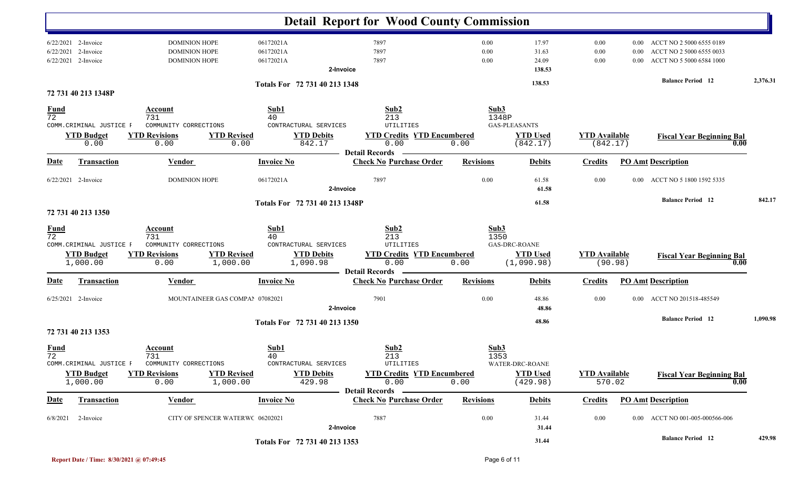|                                |                                                           |                                                                                |                                  |                                                                      |                       | <b>Detail Report for Wood County Commission</b>                       |                      |                                                                       |                                  |                      |                                                                                  |          |
|--------------------------------|-----------------------------------------------------------|--------------------------------------------------------------------------------|----------------------------------|----------------------------------------------------------------------|-----------------------|-----------------------------------------------------------------------|----------------------|-----------------------------------------------------------------------|----------------------------------|----------------------|----------------------------------------------------------------------------------|----------|
| 6/22/2021                      | 6/22/2021 2-Invoice<br>2-Invoice<br>6/22/2021 2-Invoice   | <b>DOMINION HOPE</b><br><b>DOMINION HOPE</b><br><b>DOMINION HOPE</b>           |                                  | 06172021A<br>06172021A<br>06172021A                                  | 2-Invoice             | 7897<br>7897<br>7897                                                  | 0.00<br>0.00<br>0.00 | 17.97<br>31.63<br>24.09<br>138.53                                     | 0.00<br>0.00<br>0.00             | 0.00<br>0.00<br>0.00 | ACCT NO 2 5000 6555 0189<br>ACCT NO 2 5000 6555 0033<br>ACCT NO 5 5000 6584 1000 |          |
|                                | 72 731 40 213 1348P                                       |                                                                                |                                  | Totals For 72 731 40 213 1348                                        |                       |                                                                       |                      | 138.53                                                                |                                  |                      | <b>Balance Period</b> 12                                                         | 2,376.31 |
| <u>Fund</u><br>$\overline{72}$ | COMM.CRIMINAL JUSTICE F<br><b>YTD Budget</b><br>0.00      | <b>Account</b><br>731<br>COMMUNITY CORRECTIONS<br><b>YTD Revisions</b><br>0.00 | <b>YTD Revised</b><br>0.00       | Sub1<br>40<br>CONTRACTURAL SERVICES<br><b>YTD Debits</b><br>842.17   |                       | Sub2<br>213<br>UTILITIES<br><b>YTD Credits YTD Encumbered</b><br>0.00 | 0.00                 | Sub3<br>1348P<br><b>GAS-PLEASANTS</b><br><b>YTD Used</b><br>(842.17)  | <b>YTD Available</b><br>(842.17) |                      | <b>Fiscal Year Beginning Bal</b><br>0.00                                         |          |
| <u>Date</u>                    | <b>Transaction</b>                                        | <b>Vendor</b>                                                                  |                                  | <b>Invoice No</b>                                                    | <b>Detail Records</b> | <b>Check No Purchase Order</b>                                        | <b>Revisions</b>     | <b>Debits</b>                                                         | <b>Credits</b>                   |                      | <b>PO Amt Description</b>                                                        |          |
|                                | 6/22/2021 2-Invoice                                       | <b>DOMINION HOPE</b>                                                           |                                  | 06172021A                                                            | 2-Invoice             | 7897                                                                  | 0.00                 | 61.58<br>61.58                                                        | 0.00                             | $0.00\,$             | ACCT NO 5 1800 1592 5335                                                         |          |
|                                | 72 731 40 213 1350                                        |                                                                                |                                  | Totals For 72 731 40 213 1348P                                       |                       |                                                                       |                      | 61.58                                                                 |                                  |                      | <b>Balance Period 12</b>                                                         | 842.17   |
| <b>Fund</b><br>72              | COMM. CRIMINAL JUSTICE F<br><b>YTD Budget</b><br>1,000.00 | Account<br>731<br>COMMUNITY CORRECTIONS<br><b>YTD Revisions</b><br>0.00        | <b>YTD Revised</b><br>1,000.00   | Sub1<br>40<br>CONTRACTURAL SERVICES<br><b>YTD Debits</b><br>1,090.98 |                       | Sub2<br>213<br>UTILITIES<br><b>YTD Credits YTD Encumbered</b><br>0.00 | 0.00                 | Sub3<br>1350<br><b>GAS-DRC-ROANE</b><br><b>YTD Used</b><br>(1,090.98) | <b>YTD Available</b>             | (90.98)              | <b>Fiscal Year Beginning Bal</b><br>0.00                                         |          |
| Date                           | Transaction                                               | <b>Vendor</b>                                                                  |                                  | <b>Invoice No</b>                                                    | <b>Detail Records</b> | <b>Check No Purchase Order</b>                                        | <b>Revisions</b>     | <b>Debits</b>                                                         | <b>Credits</b>                   |                      | <b>PO Amt Description</b>                                                        |          |
|                                | 6/25/2021 2-Invoice                                       |                                                                                | MOUNTAINEER GAS COMPA! 07082021  |                                                                      | 2-Invoice             | 7901                                                                  | 0.00                 | 48.86<br>48.86                                                        | 0.00                             | $0.00\,$             | ACCT NO 201518-485549                                                            |          |
|                                | 72 731 40 213 1353                                        |                                                                                |                                  | Totals For 72 731 40 213 1350                                        |                       |                                                                       |                      | 48.86                                                                 |                                  |                      | <b>Balance Period 12</b>                                                         | 1,090.98 |
| <b>Fund</b><br>$\overline{72}$ | COMM.CRIMINAL JUSTICE F                                   | Account<br>731<br>COMMUNITY CORRECTIONS                                        |                                  | Sub1<br>40<br>CONTRACTURAL SERVICES                                  |                       | Sub2<br>213<br>UTILITIES                                              | Sub3                 | 1353<br>WATER-DRC-ROANE                                               |                                  |                      |                                                                                  |          |
|                                | <b>YTD Budget</b><br>1,000.00                             | <b>YTD Revisions</b><br>0.00                                                   | <b>YTD Revised</b><br>1,000.00   | <b>YTD Debits</b><br>429.98                                          |                       | <b>YTD Credits YTD Encumbered</b><br>0.00                             | 0.00                 | <b>YTD Used</b><br>(429.98)                                           | <b>YTD Available</b><br>570.02   |                      | <b>Fiscal Year Beginning Bal</b><br>0.00                                         |          |
| <u>Date</u>                    | <b>Transaction</b>                                        | <b>Vendor</b>                                                                  |                                  | <b>Invoice No</b>                                                    |                       | Detail Records —<br><b>Check No Purchase Order</b>                    | <b>Revisions</b>     | <b>Debits</b>                                                         | <b>Credits</b>                   |                      | <b>PO Amt Description</b>                                                        |          |
| 6/8/2021                       | 2-Invoice                                                 |                                                                                | CITY OF SPENCER WATERWC 06202021 |                                                                      | 2-Invoice             | 7887                                                                  | $0.00\,$             | 31.44<br>31.44                                                        | 0.00                             |                      | 0.00 ACCT NO 001-005-000566-006                                                  |          |
|                                |                                                           |                                                                                |                                  | Totals For 72 731 40 213 1353                                        |                       |                                                                       |                      | 31.44                                                                 |                                  |                      | <b>Balance Period</b> 12                                                         | 429.98   |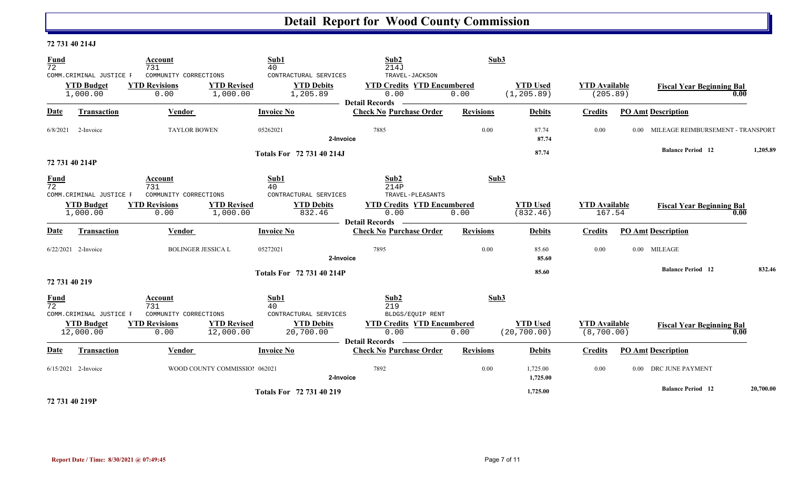#### **72 731 40 214J**

| <b>Fund</b><br>72              | COMM.CRIMINAL JUSTICE F        | Account<br>731<br>COMMUNITY CORRECTIONS | Sub1<br>40                      | CONTRACTURAL SERVICES            | Sub <sub>2</sub><br>214J<br>TRAVEL-JACKSON                         | Sub3             |                                 |                                     |                |                                   |           |
|--------------------------------|--------------------------------|-----------------------------------------|---------------------------------|----------------------------------|--------------------------------------------------------------------|------------------|---------------------------------|-------------------------------------|----------------|-----------------------------------|-----------|
|                                | <b>YTD Budget</b><br>1,000.00  | <b>YTD Revisions</b><br>0.00            | <b>YTD Revised</b><br>1,000.00  | <b>YTD Debits</b><br>1,205.89    | <b>YTD Credits YTD Encumbered</b><br>0.00<br><b>Detail Records</b> | 0.00             | <b>YTD Used</b><br>(1, 205.89)  | <b>YTD</b> Available<br>(205.89)    |                | <b>Fiscal Year Beginning Bal</b>  | 0.00      |
| Date                           | <b>Transaction</b>             | Vendor                                  | <b>Invoice No</b>               |                                  | <b>Check No Purchase Order</b>                                     | <b>Revisions</b> | <b>Debits</b>                   | <b>Credits</b>                      |                | <b>PO Amt Description</b>         |           |
| 6/8/2021                       | 2-Invoice                      | <b>TAYLOR BOWEN</b>                     | 05262021                        | 2-Invoice                        | 7885                                                               | 0.00             | 87.74<br>87.74                  | 0.00                                | $0.00^{\circ}$ | MILEAGE REIMBURSEMENT - TRANSPORT |           |
| 72 731 40 214P                 |                                |                                         |                                 | Totals For 72 731 40 214J        |                                                                    |                  | 87.74                           |                                     |                | <b>Balance Period</b> 12          | 1,205.89  |
| <b>Fund</b><br>$\overline{72}$ | COMM. CRIMINAL JUSTICE F       | Account<br>731<br>COMMUNITY CORRECTIONS | Sub1<br>40                      | CONTRACTURAL SERVICES            | Sub2<br>214P<br>TRAVEL-PLEASANTS                                   | Sub3             |                                 |                                     |                |                                   |           |
|                                | <b>YTD Budget</b><br>1,000.00  | <b>YTD Revisions</b><br>0.00            | <b>YTD Revised</b><br>1,000.00  | <b>YTD Debits</b><br>832.46      | <b>YTD Credits YTD Encumbered</b><br>0.00<br><b>Detail Records</b> | 0.00             | <b>YTD Used</b><br>(832.46)     | <b>YTD Available</b><br>167.54      |                | <b>Fiscal Year Beginning Bal</b>  | 0.00      |
| Date                           | <b>Transaction</b>             | Vendor                                  | <b>Invoice No</b>               |                                  | <b>Check No Purchase Order</b>                                     | <b>Revisions</b> | <b>Debits</b>                   | <b>Credits</b>                      |                | <b>PO Amt Description</b>         |           |
|                                | 6/22/2021 2-Invoice            | <b>BOLINGER JESSICA L</b>               | 05272021                        | 2-Invoice                        | 7895                                                               | 0.00             | 85.60<br>85.60                  | 0.00                                |                | 0.00 MILEAGE                      |           |
| 72 731 40 219                  |                                |                                         |                                 | <b>Totals For 72 731 40 214P</b> |                                                                    |                  | 85.60                           |                                     |                | <b>Balance Period 12</b>          | 832.46    |
| <b>Fund</b><br>$\overline{72}$ | COMM. CRIMINAL JUSTICE F       | Account<br>731<br>COMMUNITY CORRECTIONS | Sub1<br>40                      | CONTRACTURAL SERVICES            | Sub2<br>219<br>BLDGS/EQUIP RENT                                    | Sub3             |                                 |                                     |                |                                   |           |
|                                | <b>YTD Budget</b><br>12,000.00 | <b>YTD Revisions</b><br>0.00            | <b>YTD Revised</b><br>12,000.00 | <b>YTD Debits</b><br>20,700.00   | <b>YTD Credits YTD Encumbered</b><br>0.00<br><b>Detail Records</b> | 0.00             | <b>YTD Used</b><br>(20, 700.00) | <b>YTD Available</b><br>(8, 700.00) |                | <b>Fiscal Year Beginning Bal</b>  | 0.00      |
| Date                           | <b>Transaction</b>             | <b>Vendor</b>                           | <b>Invoice No</b>               |                                  | <b>Check No Purchase Order</b>                                     | <b>Revisions</b> | <b>Debits</b>                   | <b>Credits</b>                      |                | <b>PO Amt Description</b>         |           |
|                                | 6/15/2021 2-Invoice            |                                         | WOOD COUNTY COMMISSIOI 062021   | 2-Invoice                        | 7892                                                               | 0.00             | 1,725.00<br>1,725.00            | 0.00                                |                | 0.00 DRC JUNE PAYMENT             |           |
|                                |                                |                                         |                                 | Totals For 72 731 40 219         |                                                                    |                  | 1,725.00                        |                                     |                | <b>Balance Period 12</b>          | 20,700.00 |

**72 731 40 219P**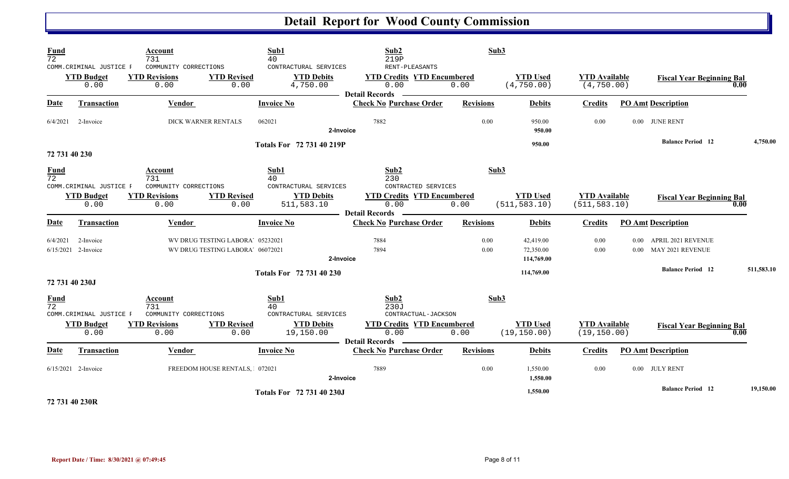| Fund<br>$\overline{72}$        | COMM. CRIMINAL JUSTICE F<br><b>YTD Budget</b><br>0.00 | Account<br>731<br>COMMUNITY CORRECTIONS<br><b>YTD Revisions</b><br>0.00 | <b>YTD Revised</b><br>0.00                                           | Sub1<br>40<br>CONTRACTURAL SERVICES<br><b>YTD Debits</b><br>4,750.00 | Sub2<br>219P<br>RENT-PLEASANTS<br><b>YTD Credits YTD Encumbered</b><br>0.00 | Sub3<br>0.00     | <b>YTD Used</b><br>(4, 750.00)       | <b>YTD Available</b><br>(4, 750.00)   |                           | <b>Fiscal Year Beginning Bal</b>              | 0.00       |
|--------------------------------|-------------------------------------------------------|-------------------------------------------------------------------------|----------------------------------------------------------------------|----------------------------------------------------------------------|-----------------------------------------------------------------------------|------------------|--------------------------------------|---------------------------------------|---------------------------|-----------------------------------------------|------------|
| <b>Date</b>                    | <b>Transaction</b>                                    | Vendor                                                                  |                                                                      | <b>Invoice No</b>                                                    | <b>Detail Records</b><br><b>Check No Purchase Order</b>                     | <b>Revisions</b> | <b>Debits</b>                        | <b>Credits</b>                        |                           | <b>PO Amt Description</b>                     |            |
| 6/4/2021                       | 2-Invoice                                             | <b>DICK WARNER RENTALS</b>                                              |                                                                      | 062021<br>2-Invoice                                                  | 7882                                                                        | 0.00             | 950.00<br>950.00                     | 0.00                                  |                           | 0.00 JUNE RENT                                |            |
| 72 731 40 230                  |                                                       |                                                                         |                                                                      | Totals For 72 731 40 219P                                            |                                                                             |                  | 950.00                               |                                       |                           | <b>Balance Period 12</b>                      | 4,750.00   |
| <b>Fund</b><br>$\overline{72}$ | COMM. CRIMINAL JUSTICE F                              | Account<br>731<br>COMMUNITY CORRECTIONS                                 |                                                                      | Sub1<br>40<br>CONTRACTURAL SERVICES                                  | Sub2<br>230<br>CONTRACTED SERVICES                                          | Sub3             |                                      |                                       |                           |                                               |            |
|                                | <b>YTD Budget</b><br>0.00                             | <b>YTD Revisions</b><br>0.00                                            | <b>YTD Revised</b><br>0.00                                           | <b>YTD Debits</b><br>511,583.10                                      | <b>YTD Credits YTD Encumbered</b><br>0.00<br><b>Detail Records</b>          | 0.00             | <b>YTD Used</b><br>(511, 583.10)     | <b>YTD</b> Available<br>(511, 583.10) |                           | <b>Fiscal Year Beginning Bal</b>              | 0.00       |
| <b>Date</b>                    | <b>Transaction</b>                                    | <b>Vendor</b>                                                           |                                                                      | <b>Invoice No</b>                                                    | <b>Check No Purchase Order</b>                                              | <b>Revisions</b> | <b>Debits</b>                        | <b>Credits</b>                        |                           | <b>PO Amt Description</b>                     |            |
| 6/4/2021                       | 2-Invoice<br>$6/15/2021$ 2-Invoice                    |                                                                         | WV DRUG TESTING LABORA' 05232021<br>WV DRUG TESTING LABORA' 06072021 | 2-Invoice                                                            | 7884<br>7894                                                                | 0.00<br>0.00     | 42,419.00<br>72,350.00<br>114,769.00 | 0.00<br>0.00                          | 0.00<br>0.00 <sub>1</sub> | APRIL 2021 REVENUE<br><b>MAY 2021 REVENUE</b> |            |
| 72 731 40 230J                 |                                                       |                                                                         |                                                                      | Totals For 72 731 40 230                                             |                                                                             |                  | 114,769.00                           |                                       |                           | <b>Balance Period 12</b>                      | 511,583.10 |
| <b>Fund</b><br>$\overline{72}$ | COMM. CRIMINAL JUSTICE F                              | Account<br>731<br>COMMUNITY CORRECTIONS                                 |                                                                      | Sub1<br>40<br>CONTRACTURAL SERVICES                                  | Sub2<br>230J<br>CONTRACTUAL-JACKSON                                         | Sub3             |                                      |                                       |                           |                                               |            |
|                                | <b>YTD Budget</b><br>0.00                             | <b>YTD Revisions</b><br>0.00                                            | <b>YTD Revised</b><br>0.00                                           | <b>YTD Debits</b><br>19,150.00                                       | <b>YTD Credits YTD Encumbered</b><br>0.00<br><b>Detail Records</b>          | 0.00             | <b>YTD Used</b><br>(19, 150.00)      | <b>YTD</b> Available<br>(19, 150.00)  |                           | <b>Fiscal Year Beginning Bal</b>              | 0.00       |
| Date                           | <b>Transaction</b>                                    | Vendor                                                                  |                                                                      | <b>Invoice No</b>                                                    | <b>Check No Purchase Order</b>                                              | <b>Revisions</b> | <b>Debits</b>                        | <b>Credits</b>                        |                           | <b>PO Amt Description</b>                     |            |
|                                | $6/15/2021$ 2-Invoice                                 |                                                                         | FREEDOM HOUSE RENTALS, 072021                                        | 2-Invoice                                                            | 7889                                                                        | 0.00             | 1,550.00<br>1,550.00                 | 0.00                                  |                           | 0.00 JULY RENT                                |            |
|                                |                                                       |                                                                         |                                                                      | Totals For 72 731 40 230J                                            |                                                                             |                  | 1,550.00                             |                                       |                           | <b>Balance Period 12</b>                      | 19,150.00  |

**72 731 40 230R**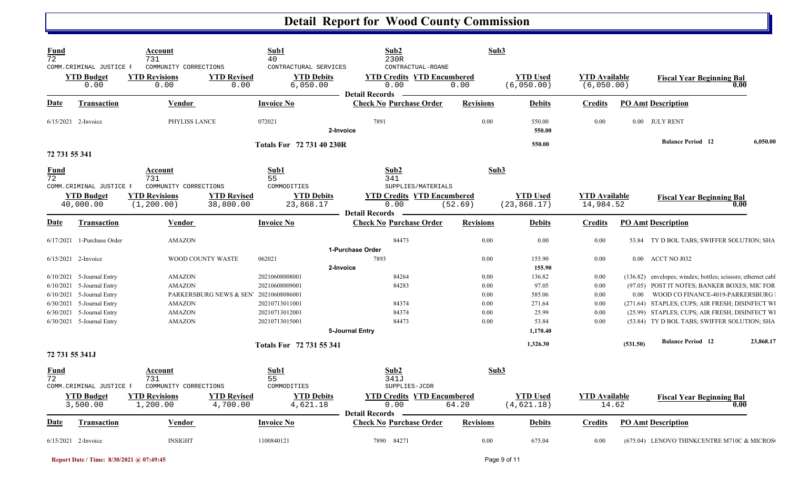| Fund<br>$\overline{72}$ |                                                            | Account<br>731                                               |                                 | Sub1<br>40                                             | Sub2<br>230R                                                                            | Sub3             |                                  |                                    |          |                                                                |           |
|-------------------------|------------------------------------------------------------|--------------------------------------------------------------|---------------------------------|--------------------------------------------------------|-----------------------------------------------------------------------------------------|------------------|----------------------------------|------------------------------------|----------|----------------------------------------------------------------|-----------|
|                         | COMM. CRIMINAL JUSTICE F<br><b>YTD Budget</b><br>0.00      | COMMUNITY CORRECTIONS<br><b>YTD Revisions</b><br>0.00        | <b>YTD Revised</b><br>0.00      | CONTRACTURAL SERVICES<br><b>YTD Debits</b><br>6,050.00 | CONTRACTUAL-ROANE<br><b>YTD Credits YTD Encumbered</b><br>0.00<br><b>Detail Records</b> | 0.00             | <b>YTD Used</b><br>(6,050.00)    | <b>YTD Available</b><br>(6,050.00) |          | <b>Fiscal Year Beginning Bal</b><br>0.00                       |           |
| <b>Date</b>             | <b>Transaction</b>                                         | <b>Vendor</b>                                                |                                 | <b>Invoice No</b>                                      | <b>Check No Purchase Order</b>                                                          | <b>Revisions</b> | <b>Debits</b>                    | <b>Credits</b>                     |          | <b>PO Amt Description</b>                                      |           |
|                         | 6/15/2021 2-Invoice                                        | PHYLISS LANCE                                                |                                 | 072021                                                 | 7891<br>2-Invoice                                                                       | 0.00             | 550.00<br>550.00                 | 0.00                               |          | 0.00 JULY RENT                                                 |           |
| 72 731 55 341           |                                                            |                                                              |                                 | <b>Totals For 72 731 40 230R</b>                       |                                                                                         |                  | 550.00                           |                                    |          | <b>Balance Period 12</b>                                       | 6,050.00  |
| <u>Fund</u><br>72       |                                                            | Account<br>731                                               |                                 | Sub1<br>55                                             | Sub2<br>341                                                                             | Sub3             |                                  |                                    |          |                                                                |           |
|                         | COMM. CRIMINAL JUSTICE F<br><b>YTD Budget</b><br>40,000.00 | COMMUNITY CORRECTIONS<br><b>YTD Revisions</b><br>(1, 200.00) | <b>YTD Revised</b><br>38,800.00 | COMMODITIES<br><b>YTD Debits</b><br>23,868.17          | SUPPLIES/MATERIALS<br><b>YTD Credits YTD Encumbered</b><br>0.00                         | (52.69)          | <b>YTD Used</b><br>(23, 868, 17) | <b>YTD</b> Available<br>14,984.52  |          | <b>Fiscal Year Beginning Bal</b><br>0.00                       |           |
| <b>Date</b>             | <b>Transaction</b>                                         | Vendor                                                       |                                 | <b>Invoice No</b>                                      | <b>Detail Records</b><br><b>Check No Purchase Order</b>                                 | <b>Revisions</b> | <b>Debits</b>                    | <b>Credits</b>                     |          | <b>PO Amt Description</b>                                      |           |
|                         | 6/17/2021 1-Purchase Order                                 | <b>AMAZON</b>                                                |                                 |                                                        | 84473                                                                                   | 0.00             | 0.00                             | 0.00                               |          | 53.84 TY D BOL TABS; SWIFFER SOLUTION; SHA                     |           |
|                         |                                                            |                                                              |                                 |                                                        | 1-Purchase Order                                                                        |                  |                                  |                                    |          |                                                                |           |
|                         | 6/15/2021 2-Invoice                                        |                                                              | WOOD COUNTY WASTE               | 062021                                                 | 7893<br>2-Invoice                                                                       | 0.00             | 155.90<br>155.90                 | 0.00                               |          | 0.00 ACCT NO J032                                              |           |
|                         | $6/10/2021$ 5-Journal Entry                                | <b>AMAZON</b>                                                |                                 | 20210608008001                                         | 84264                                                                                   | 0.00             | 136.82                           | 0.00                               |          | (136.82) envelopes; windex; bottles; scissors; ethernet cables |           |
| 6/10/2021               | 5-Journal Entry                                            | <b>AMAZON</b>                                                |                                 | 20210608009001                                         | 84283                                                                                   | 0.00             | 97.05                            | 0.00                               |          | (97.05) POST IT NOTES; BANKER BOXES; MIC FOR                   |           |
|                         | 6/10/2021 5-Journal Entry                                  |                                                              | PARKERSBURG NEWS & SEN          | 20210608086001                                         |                                                                                         | 0.00             | 585.06                           | 0.00                               | $0.00\,$ | WOOD CO FINANCE-4019-PARKERSBURG                               |           |
|                         | $6/30/2021$ 5-Journal Entry                                | <b>AMAZON</b>                                                |                                 | 20210713011001                                         | 84374                                                                                   | 0.00             | 271.64                           | 0.00                               |          | (271.64) STAPLES; CUPS; AIR FRESH; DISINFECT W.                |           |
|                         | 6/30/2021 5-Journal Entry                                  | <b>AMAZON</b>                                                |                                 | 20210713012001                                         | 84374                                                                                   | 0.00             | 25.99                            | 0.00                               |          | (25.99) STAPLES; CUPS; AIR FRESH; DISINFECT W.                 |           |
|                         | 6/30/2021 5-Journal Entry                                  | <b>AMAZON</b>                                                |                                 | 20210713015001                                         | 84473                                                                                   | 0.00             | 53.84                            | 0.00                               |          | (53.84) TY D BOL TABS; SWIFFER SOLUTION; SHA                   |           |
|                         |                                                            |                                                              |                                 |                                                        | 5-Journal Entry                                                                         |                  | 1,170.40                         |                                    |          |                                                                |           |
|                         |                                                            |                                                              |                                 | <b>Totals For 72 731 55 341</b>                        |                                                                                         |                  | 1,326.30                         |                                    | (531.50) | <b>Balance Period 12</b>                                       | 23,868.17 |
| 72 731 55 341J          |                                                            |                                                              |                                 |                                                        |                                                                                         |                  |                                  |                                    |          |                                                                |           |
| Fund<br>$\overline{72}$ |                                                            | Account<br>731                                               |                                 | Sub1<br>55                                             | Sub2<br>341J                                                                            | Sub3             |                                  |                                    |          |                                                                |           |
|                         | COMM. CRIMINAL JUSTICE F                                   | COMMUNITY CORRECTIONS                                        |                                 | COMMODITIES                                            | SUPPLIES-JCDR                                                                           |                  |                                  |                                    |          |                                                                |           |
|                         | <b>YTD</b> Budget<br>3,500.00                              | <b>YTD Revisions</b><br>1,200.00                             | <b>YTD Revised</b><br>4,700.00  | <b>YTD Debits</b><br>4,621.18                          | <b>YTD Credits YTD Encumbered</b><br>0.00                                               | 64.20            | <b>YTD Used</b><br>(4,621.18)    | <b>YTD Available</b><br>14.62      |          | <b>Fiscal Year Beginning Bal</b><br>0.00                       |           |
|                         |                                                            |                                                              |                                 |                                                        | <b>Detail Records</b>                                                                   |                  |                                  |                                    |          |                                                                |           |
| <u>Date</u>             | <b>Transaction</b>                                         | <b>Vendor</b>                                                |                                 | <b>Invoice No</b>                                      | <b>Check No Purchase Order</b>                                                          | <b>Revisions</b> | <b>Debits</b>                    | <b>Credits</b>                     |          | <b>PO Amt Description</b>                                      |           |
|                         | $6/15/2021$ 2-Invoice                                      | <b>INSIGHT</b>                                               |                                 | 1100840121                                             | 7890 84271                                                                              | 0.00             | 675.04                           | 0.00                               |          | (675.04) LENOVO THINKCENTRE M710C & MICROS                     |           |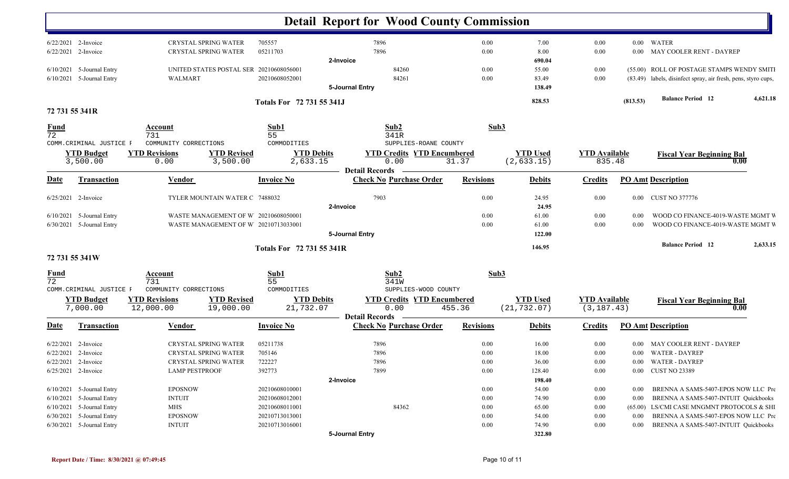|                                |                             |                       |                                         |                           |                 | <b>Detail Report for Wood County Commission</b>         |                  |                 |                      |          |                                                               |          |
|--------------------------------|-----------------------------|-----------------------|-----------------------------------------|---------------------------|-----------------|---------------------------------------------------------|------------------|-----------------|----------------------|----------|---------------------------------------------------------------|----------|
|                                | 6/22/2021 2-Invoice         |                       | CRYSTAL SPRING WATER                    | 705557                    |                 | 7896                                                    | 0.00             | 7.00            | 0.00                 |          | 0.00 WATER                                                    |          |
|                                | 6/22/2021 2-Invoice         |                       | <b>CRYSTAL SPRING WATER</b>             | 05211703                  |                 | 7896                                                    | 0.00             | 8.00            | $0.00\,$             | $0.00\,$ | MAY COOLER RENT - DAYREP                                      |          |
|                                | 6/10/2021 5-Journal Entry   |                       | UNITED STATES POSTAL SER 20210608056001 |                           | 2-Invoice       | 84260                                                   | 0.00             | 690.04<br>55.00 | 0.00                 |          | (55.00) ROLL OF POSTAGE STAMPS WENDY SMITI                    |          |
|                                | $6/10/2021$ 5-Journal Entry | WALMART               |                                         | 20210608052001            |                 | 84261                                                   | 0.00             | 83.49           | 0.00                 |          | (83.49) labels, disinfect spray, air fresh, pens, styro cups, |          |
|                                |                             |                       |                                         |                           | 5-Journal Entry |                                                         |                  | 138.49          |                      |          |                                                               |          |
|                                |                             |                       |                                         | Totals For 72 731 55 341J |                 |                                                         |                  | 828.53          |                      | (813.53) | <b>Balance Period</b> 12                                      | 4,621.18 |
|                                | 72 731 55 341R              |                       |                                         |                           |                 |                                                         |                  |                 |                      |          |                                                               |          |
| <b>Fund</b><br>$\overline{72}$ |                             | Account<br>731        |                                         | Sub1<br>55                |                 | Sub2<br>341R                                            | Sub3             |                 |                      |          |                                                               |          |
|                                | COMM.CRIMINAL JUSTICE F     | COMMUNITY CORRECTIONS |                                         | COMMODITIES               |                 | SUPPLIES-ROANE COUNTY                                   |                  |                 |                      |          |                                                               |          |
|                                | <b>YTD Budget</b>           | <b>YTD Revisions</b>  | <b>YTD Revised</b>                      | <b>YTD Debits</b>         |                 | <b>YTD Credits YTD Encumbered</b>                       |                  | <b>YTD Used</b> | <b>YTD Available</b> |          | <b>Fiscal Year Beginning Bal</b>                              |          |
|                                | 3,500.00                    | 0.00                  | 3,500.00                                | 2,633.15                  |                 | 0.00                                                    | 31.37            | (2, 633.15)     | 835.48               |          |                                                               | 0.00     |
| Date                           | <b>Transaction</b>          | Vendor                |                                         | <b>Invoice No</b>         |                 | <b>Detail Records</b><br><b>Check No Purchase Order</b> | <b>Revisions</b> | <b>Debits</b>   | <b>Credits</b>       |          | <b>PO Amt Description</b>                                     |          |
|                                |                             |                       |                                         |                           |                 |                                                         |                  |                 |                      |          |                                                               |          |
|                                | $6/25/2021$ 2-Invoice       |                       | TYLER MOUNTAIN WATER C 7488032          |                           | 2-Invoice       | 7903                                                    | 0.00             | 24.95<br>24.95  | 0.00                 |          | 0.00 CUST NO 377776                                           |          |
|                                | 6/10/2021 5-Journal Entry   |                       | WASTE MANAGEMENT OF W 20210608050001    |                           |                 |                                                         | 0.00             | 61.00           | 0.00                 | 0.00     | WOOD CO FINANCE-4019-WASTE MGMT V                             |          |
|                                | 6/30/2021 5-Journal Entry   |                       | WASTE MANAGEMENT OF W 20210713033001    |                           |                 |                                                         | 0.00             | 61.00           | 0.00                 | 0.00     | WOOD CO FINANCE-4019-WASTE MGMT V                             |          |
|                                |                             |                       |                                         |                           | 5-Journal Entry |                                                         |                  | 122.00          |                      |          |                                                               |          |
|                                |                             |                       |                                         | Totals For 72 731 55 341R |                 |                                                         |                  | 146.95          |                      |          | <b>Balance Period 12</b>                                      | 2,633.15 |
|                                | 72 731 55 341W              |                       |                                         |                           |                 |                                                         |                  |                 |                      |          |                                                               |          |
| <u>Fund</u><br>72              |                             | Account<br>731        |                                         | Sub1<br>55                |                 | Sub2<br>341W                                            | Sub3             |                 |                      |          |                                                               |          |
|                                | COMM. CRIMINAL JUSTICE F    | COMMUNITY CORRECTIONS |                                         | COMMODITIES               |                 | SUPPLIES-WOOD COUNTY                                    |                  |                 |                      |          |                                                               |          |
|                                | <b>YTD Budget</b>           | <b>YTD Revisions</b>  | <b>YTD Revised</b>                      | <b>YTD Debits</b>         |                 | <b>YTD Credits YTD Encumbered</b>                       |                  | <b>YTD Used</b> | <b>YTD Available</b> |          | <b>Fiscal Year Beginning Bal</b>                              |          |
|                                | 7,000.00                    | 12,000.00             | 19,000.00                               | 21,732.07                 |                 | 0.00                                                    | 455.36           | (21, 732.07)    | (3, 187.43)          |          |                                                               | 0.00     |
| <u>Date</u>                    | <b>Transaction</b>          | <b>Vendor</b>         |                                         | <b>Invoice No</b>         |                 | <b>Detail Records</b><br><b>Check No Purchase Order</b> | <b>Revisions</b> | <b>Debits</b>   | <b>Credits</b>       |          | <b>PO Amt Description</b>                                     |          |
|                                | 6/22/2021 2-Invoice         |                       | <b>CRYSTAL SPRING WATER</b>             | 05211738                  |                 | 7896                                                    | 0.00             | 16.00           | 0.00                 | $0.00 -$ | MAY COOLER RENT - DAYREP                                      |          |
|                                | 6/22/2021 2-Invoice         |                       | <b>CRYSTAL SPRING WATER</b>             | 705146                    |                 | 7896                                                    | 0.00             | 18.00           | 0.00                 |          | 0.00 WATER - DAYREP                                           |          |
|                                | 6/22/2021 2-Invoice         |                       | CRYSTAL SPRING WATER                    | 722227                    |                 | 7896                                                    | $0.00\,$         | 36.00           | $0.00\,$             |          | 0.00 WATER - DAYREP                                           |          |
|                                | $6/25/2021$ 2-Invoice       | <b>LAMP PESTPROOF</b> |                                         | 392773                    |                 | 7899                                                    | 0.00             | 128.40          | 0.00                 |          | 0.00 CUST NO 23389                                            |          |
|                                |                             |                       |                                         |                           | 2-Invoice       |                                                         |                  | 198.40          |                      |          |                                                               |          |
|                                | $6/10/2021$ 5-Journal Entry | <b>EPOSNOW</b>        |                                         | 20210608010001            |                 |                                                         | 0.00             | 54.00           | $0.00\,$             | 0.00     | BRENNA A SAMS-5407-EPOS NOW LLC Pre                           |          |
|                                | 6/10/2021 5-Journal Entry   | <b>INTUIT</b>         |                                         | 20210608012001            |                 |                                                         | 0.00             | 74.90           | $0.00\,$             | 0.00     | BRENNA A SAMS-5407-INTUIT Quickbooks                          |          |
|                                | $6/10/2021$ 5-Journal Entry | <b>MHS</b>            |                                         | 20210608011001            |                 | 84362                                                   | 0.00             | 65.00           | 0.00                 |          | (65.00) LS/CMI CASE MNGMNT PROTOCOLS & SHI                    |          |
|                                | 6/30/2021 5-Journal Entry   | <b>EPOSNOW</b>        |                                         | 20210713013001            |                 |                                                         | 0.00             | 54.00           | $0.00\,$             | $0.00\,$ | BRENNA A SAMS-5407-EPOS NOW LLC Pre                           |          |
|                                | 6/30/2021 5-Journal Entry   | <b>INTUIT</b>         |                                         | 20210713016001            |                 |                                                         | 0.00             | 74.90           | 0.00                 | $0.00\,$ | BRENNA A SAMS-5407-INTUIT Quickbooks                          |          |
|                                |                             |                       |                                         |                           | 5-Journal Entry |                                                         |                  | 322.80          |                      |          |                                                               |          |